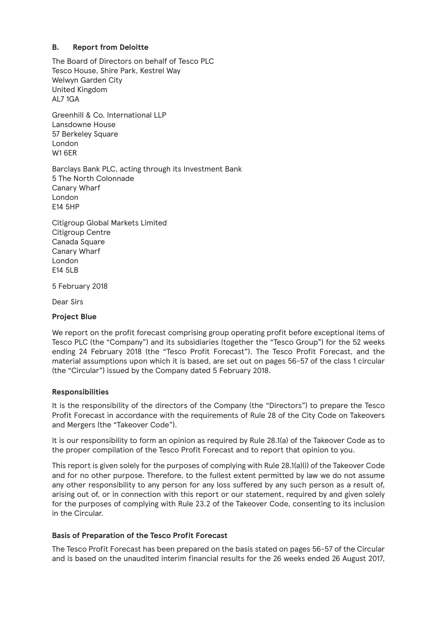# **B. Report from Deloitte**

The Board of Directors on behalf of Tesco PLC Tesco House, Shire Park, Kestrel Way Welwyn Garden City United Kingdom AL7 1GA

Greenhill & Co. International LLP Lansdowne House 57 Berkeley Square London W1 6ER

Barclays Bank PLC, acting through its Investment Bank 5 The North Colonnade Canary Wharf London E14 5HP

Citigroup Global Markets Limited Citigroup Centre Canada Square Canary Wharf London E14 5LB

5 February 2018

Dear Sirs

#### **Project Blue**

We report on the profit forecast comprising group operating profit before exceptional items of Tesco PLC (the "Company") and its subsidiaries (together the "Tesco Group") for the 52 weeks ending 24 February 2018 (the "Tesco Profit Forecast"). The Tesco Profit Forecast, and the material assumptions upon which it is based, are set out on pages 56-57 of the class 1 circular (the "Circular") issued by the Company dated 5 February 2018.

#### **Responsibilities**

It is the responsibility of the directors of the Company (the "Directors") to prepare the Tesco Profit Forecast in accordance with the requirements of Rule 28 of the City Code on Takeovers and Mergers (the "Takeover Code").

It is our responsibility to form an opinion as required by Rule 28.1(a) of the Takeover Code as to the proper compilation of the Tesco Profit Forecast and to report that opinion to you.

This report is given solely for the purposes of complying with Rule 28.1(a)(i) of the Takeover Code and for no other purpose. Therefore, to the fullest extent permitted by law we do not assume any other responsibility to any person for any loss suffered by any such person as a result of, arising out of, or in connection with this report or our statement, required by and given solely for the purposes of complying with Rule 23.2 of the Takeover Code, consenting to its inclusion in the Circular.

#### **Basis of Preparation of the Tesco Profit Forecast**

The Tesco Profit Forecast has been prepared on the basis stated on pages 56-57 of the Circular and is based on the unaudited interim financial results for the 26 weeks ended 26 August 2017,